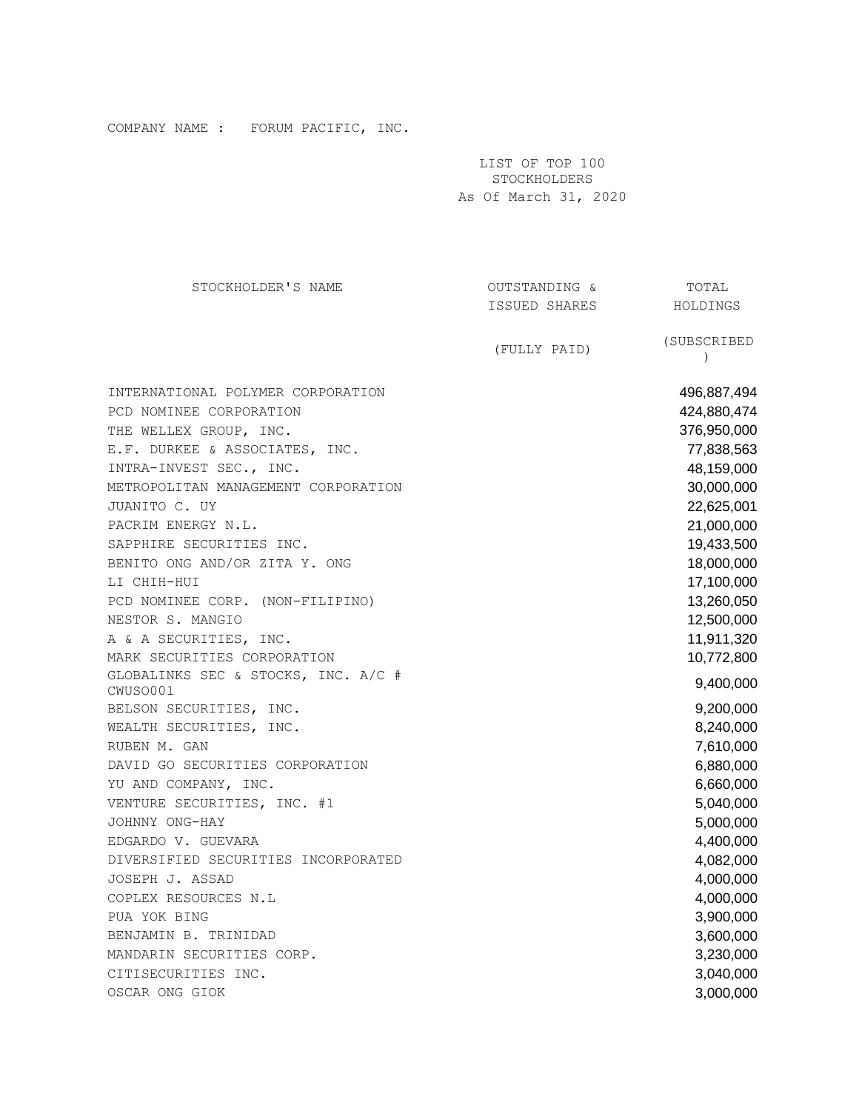| STOCKHOLDER'S NAME                                                                                                                                                                                                                                                                                                                                                                                                             | OUTSTANDING & | TOTAL                                                                                                                                                                                                             |
|--------------------------------------------------------------------------------------------------------------------------------------------------------------------------------------------------------------------------------------------------------------------------------------------------------------------------------------------------------------------------------------------------------------------------------|---------------|-------------------------------------------------------------------------------------------------------------------------------------------------------------------------------------------------------------------|
|                                                                                                                                                                                                                                                                                                                                                                                                                                | ISSUED SHARES | HOLDINGS                                                                                                                                                                                                          |
|                                                                                                                                                                                                                                                                                                                                                                                                                                | (FULLY PAID)  | (SUBSCRIBED<br>$\lambda$                                                                                                                                                                                          |
| INTERNATIONAL POLYMER CORPORATION<br>PCD NOMINEE CORPORATION<br>THE WELLEX GROUP, INC.<br>E.F. DURKEE & ASSOCIATES, INC.<br>INTRA-INVEST SEC., INC.<br>METROPOLITAN MANAGEMENT CORPORATION<br>JUANITO C. UY<br>PACRIM ENERGY N.L.<br>SAPPHIRE SECURITIES INC.<br>BENITO ONG AND/OR ZITA Y. ONG<br>LI CHIH-HUI<br>PCD NOMINEE CORP. (NON-FILIPINO)<br>NESTOR S. MANGIO<br>A & A SECURITIES, INC.<br>MARK SECURITIES CORPORATION |               | 496,887,494<br>424,880,474<br>376,950,000<br>77,838,563<br>48,159,000<br>30,000,000<br>22,625,001<br>21,000,000<br>19,433,500<br>18,000,000<br>17,100,000<br>13,260,050<br>12,500,000<br>11,911,320<br>10,772,800 |
| GLOBALINKS SEC & STOCKS, INC. A/C #<br>CWUSO001                                                                                                                                                                                                                                                                                                                                                                                |               | 9,400,000                                                                                                                                                                                                         |
| BELSON SECURITIES, INC.<br>WEALTH SECURITIES, INC.<br>RUBEN M. GAN<br>DAVID GO SECURITIES CORPORATION                                                                                                                                                                                                                                                                                                                          |               | 9,200,000<br>8,240,000<br>7,610,000<br>6,880,000                                                                                                                                                                  |
| YU AND COMPANY, INC.<br>VENTURE SECURITIES, INC. #1<br>JOHNNY ONG-HAY                                                                                                                                                                                                                                                                                                                                                          |               | 6,660,000<br>5,040,000<br>5,000,000                                                                                                                                                                               |
| EDGARDO V. GUEVARA<br>DIVERSIFIED SECURITIES INCORPORATED                                                                                                                                                                                                                                                                                                                                                                      |               | 4,400,000<br>4,082,000                                                                                                                                                                                            |
| JOSEPH J. ASSAD<br>COPLEX RESOURCES N.L                                                                                                                                                                                                                                                                                                                                                                                        |               | 4,000,000<br>4,000,000                                                                                                                                                                                            |
| PUA YOK BING<br>BENJAMIN B. TRINIDAD                                                                                                                                                                                                                                                                                                                                                                                           |               | 3,900,000<br>3,600,000                                                                                                                                                                                            |
| MANDARIN SECURITIES CORP.<br>CITISECURITIES INC.<br>OSCAR ONG GIOK                                                                                                                                                                                                                                                                                                                                                             |               | 3,230,000<br>3,040,000<br>3,000,000                                                                                                                                                                               |

LIST OF TOP 100 STOCKHOLDERS As Of March 31, 2020

COMPANY NAME : FORUM PACIFIC, INC.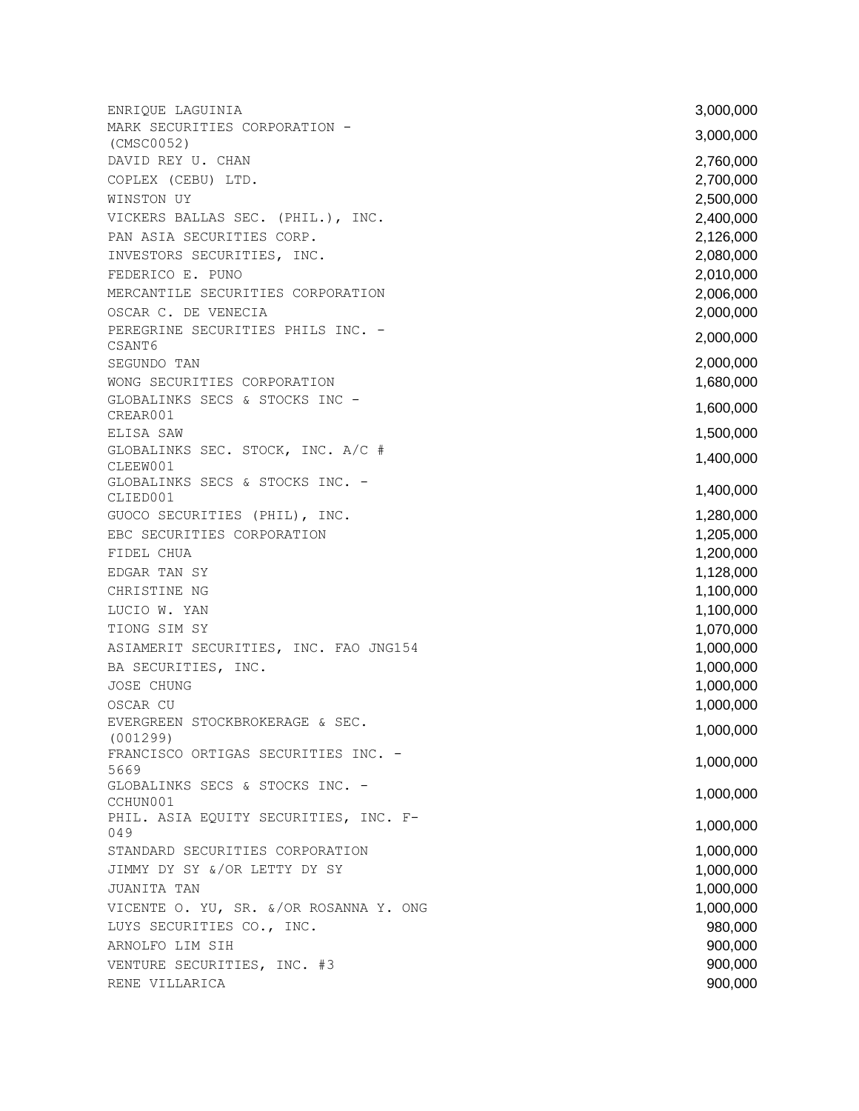ENRIQUE LAGUINIA 3,000,000 MARK SECURITIES CORPORATION - THINK BECONSISTED CONFORTION 3,000,000 (CMSC0052) DAVID REY U. CHAN 2,760,000 COPLEX (CEBU) LTD. 2,700,000 WINSTON UY 2,500,000 VICKERS BALLAS SEC. (PHIL.), INC. 2,400,000 PAN ASIA SECURITIES CORP. 2,126,000 INVESTORS SECURITIES, INC. 2,080,000 FEDERICO E. PUNO 2,010,000 PEDERICO E. PUNO MERCANTILE SECURITIES CORPORATION 2,006,000 OSCAR C. DE VENECIA 2,000,000 PEREGRINE SECURITIES PHILS INC. -ENEGNINE SECONTIES INITS INC. 2,000,000 SEGUNDO TAN 2,000,000 WONG SECURITIES CORPORATION **1,680,000** GLOBALINKS SECS & STOCKS INC - SECONDENTIALS SECONDENTIAL SECONDENTIAL SECONDENTIAL SECONDENTIAL SECONDENTIAL SECONDENTIAL SECONDENTIAL SECONDENTIAL SECONDENTIAL SECONDENTIAL SECONDENTIAL SECONDENTIAL SECONDENTIAL SECONDENTIAL SECONDENTIAL SECONDENTIAL ELISA SAW 1,500,000 GLOBALINKS SEC. STOCK, INC. A/C # CLEEW001  $1,400,000$ GLOBALINKS SECS & STOCKS INC. -CLIED001 1,400,000 GUOCO SECURITIES (PHIL), INC. 1,280,000 EBC SECURITIES CORPORATION **1,205,000** FIDEL CHUA 1,200,000 EDGAR TAN SY 1,128,000 CHRISTINE NG **1,100,000** LUCIO W. YAN 1,100,000 TIONG SIM SY 1,070,000 ASIAMERIT SECURITIES, INC. FAO JNG154 1,000,000 BA SECURITIES, INC. 1,000,000 and 1,000,000 and 1,000,000 and 1,000,000 and 1,000,000 and 1,000,000 and 1,000,000 and 1,000,000 and 1,000,000 and 1,000,000 and 1,000,000 and 1,000,000 and 1,000,000 and 1,000,000 and 1,000, JOSE CHUNG 1,000,000 OSCAR CU and the contract of the contract of the contract of the contract of the contract of the contract of the contract of the contract of the contract of the contract of the contract of the contract of the contract of t EVERGREEN STOCKBROKERAGE & SEC.  $(001299)$  1,000,000 FRANCISCO ORTIGAS SECURITIES INC. - Things is the continue that the continue of the continue of the continue of the continue of the continue of the continue of the continue of the continue of the continue of the continue of the continue of the continue of th GLOBALINKS SECS & STOCKS INC. -SHODALINKS SECS & STOCKS INC. (2000) 2008 2012 1,000,000 PHIL. ASIA EQUITY SECURITIES, INC. F - <sup>049</sup> 1,000,000 STANDARD SECURITIES CORPORATION 1,000,000 JIMMY DY SY &/OR LETTY DY SY 1,000,000 JUANITA TAN 1,000,000 VICENTE O. YU, SR. &/OR ROSANNA Y. ONG 1,000,000 LUYS SECURITIES CO., INC. 980,000 ARNOLFO LIM SIH 900,000 VENTURE SECURITIES, INC. #3 900,000 RENE VILLARICA 900,000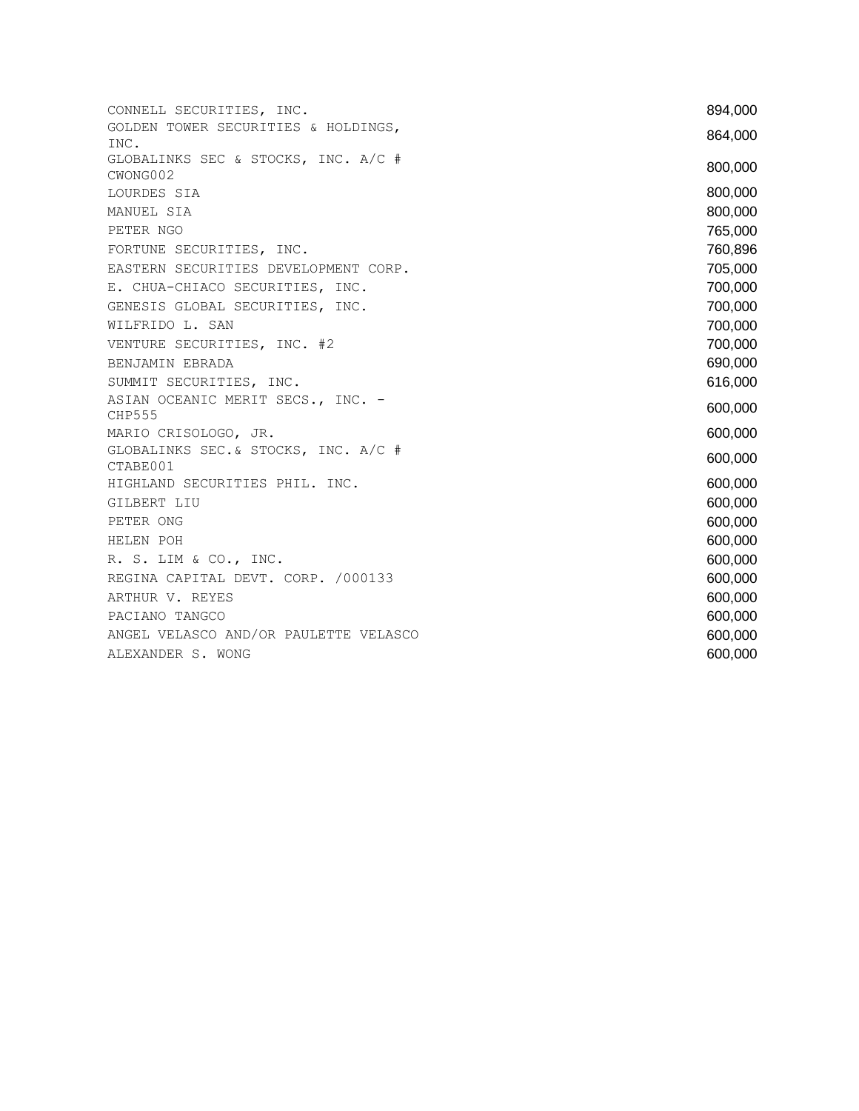| CONNELL SECURITIES, INC.                           | 894,000 |
|----------------------------------------------------|---------|
| GOLDEN TOWER SECURITIES & HOLDINGS,<br>INC.        | 864,000 |
| GLOBALINKS SEC & STOCKS, INC. A/C #<br>CWONG002    | 800,000 |
| LOURDES SIA                                        | 800,000 |
| MANUEL SIA                                         | 800,000 |
| PETER NGO                                          | 765,000 |
| FORTUNE SECURITIES, INC.                           | 760,896 |
| EASTERN SECURITIES DEVELOPMENT CORP.               | 705,000 |
| E. CHUA-CHIACO SECURITIES, INC.                    | 700,000 |
| GENESIS GLOBAL SECURITIES, INC.                    | 700,000 |
| WILFRIDO L. SAN                                    | 700,000 |
| VENTURE SECURITIES, INC. #2                        | 700,000 |
| BENJAMIN EBRADA                                    | 690,000 |
| SUMMIT SECURITIES, INC.                            | 616,000 |
| ASIAN OCEANIC MERIT SECS., INC. -<br><b>CHP555</b> | 600,000 |
| MARIO CRISOLOGO, JR.                               | 600,000 |
| GLOBALINKS SEC. & STOCKS, INC. A/C #<br>CTABE001   | 600,000 |
| HIGHLAND SECURITIES PHIL. INC.                     | 600,000 |
| GILBERT LIU                                        | 600,000 |
| PETER ONG                                          | 600,000 |
| HELEN POH                                          | 600,000 |
| R. S. LIM & CO., INC.                              | 600,000 |
| REGINA CAPITAL DEVT. CORP. /000133                 | 600,000 |
| ARTHUR V. REYES                                    | 600,000 |
| PACIANO TANGCO                                     | 600,000 |
| ANGEL VELASCO AND/OR PAULETTE VELASCO              | 600,000 |
| ALEXANDER S. WONG                                  | 600,000 |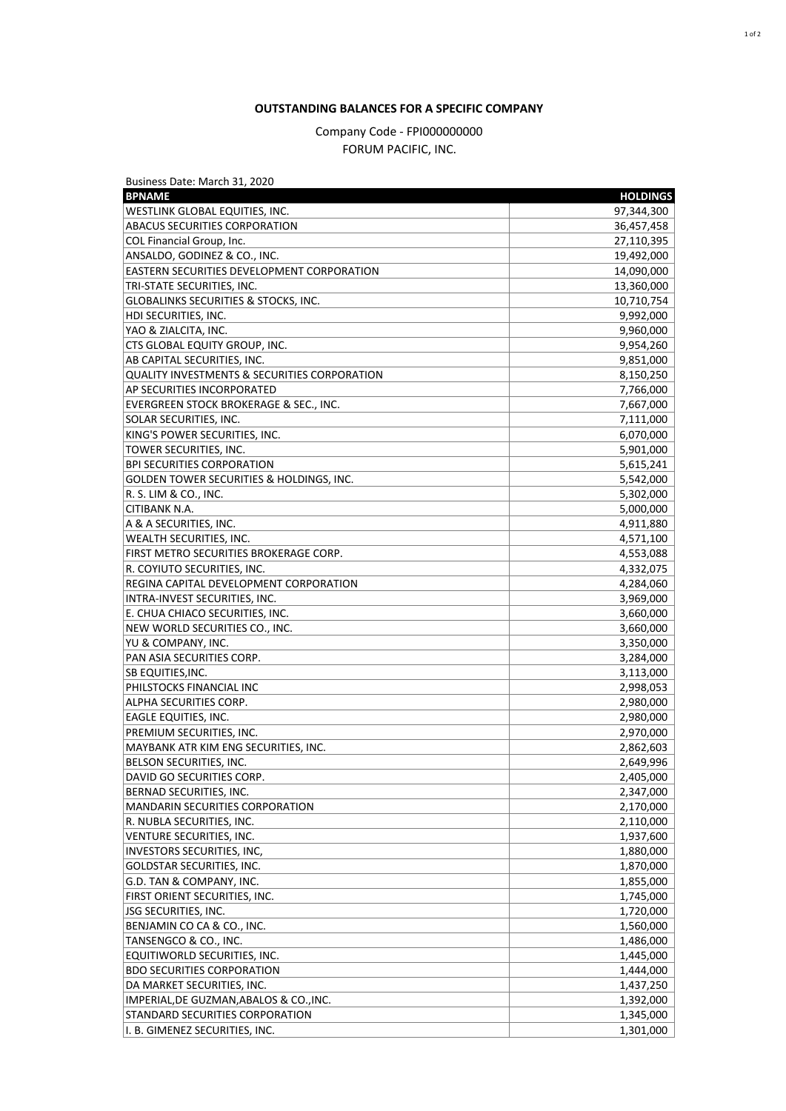## **OUTSTANDING BALANCES FOR A SPECIFIC COMPANY**

## Company Code - FPI000000000 FORUM PACIFIC, INC.

| Business Date: March 31, 2020                           |                 |
|---------------------------------------------------------|-----------------|
| <b>BPNAME</b>                                           | <b>HOLDINGS</b> |
| WESTLINK GLOBAL EQUITIES, INC.                          | 97,344,300      |
| <b>ABACUS SECURITIES CORPORATION</b>                    | 36,457,458      |
| COL Financial Group, Inc.                               | 27,110,395      |
| ANSALDO, GODINEZ & CO., INC.                            | 19,492,000      |
| <b>EASTERN SECURITIES DEVELOPMENT CORPORATION</b>       | 14,090,000      |
| TRI-STATE SECURITIES, INC.                              | 13,360,000      |
| <b>GLOBALINKS SECURITIES &amp; STOCKS, INC.</b>         | 10,710,754      |
| HDI SECURITIES, INC.                                    | 9,992,000       |
| YAO & ZIALCITA, INC.                                    | 9,960,000       |
| CTS GLOBAL EQUITY GROUP, INC.                           | 9,954,260       |
| AB CAPITAL SECURITIES, INC.                             | 9,851,000       |
| <b>QUALITY INVESTMENTS &amp; SECURITIES CORPORATION</b> | 8,150,250       |
| AP SECURITIES INCORPORATED                              | 7,766,000       |
| EVERGREEN STOCK BROKERAGE & SEC., INC.                  | 7,667,000       |
| <b>SOLAR SECURITIES, INC.</b>                           | 7,111,000       |
| KING'S POWER SECURITIES. INC.                           | 6,070,000       |
| <b>TOWER SECURITIES, INC.</b>                           | 5,901,000       |
| <b>BPI SECURITIES CORPORATION</b>                       | 5,615,241       |
| GOLDEN TOWER SECURITIES & HOLDINGS, INC.                | 5,542,000       |
| R. S. LIM & CO., INC.                                   | 5,302,000       |
| CITIBANK N.A.                                           | 5,000,000       |
| A & A SECURITIES, INC.                                  | 4,911,880       |
| WEALTH SECURITIES, INC.                                 | 4,571,100       |
| FIRST METRO SECURITIES BROKERAGE CORP.                  | 4,553,088       |
| R. COYIUTO SECURITIES, INC.                             | 4,332,075       |
| REGINA CAPITAL DEVELOPMENT CORPORATION                  | 4,284,060       |
| INTRA-INVEST SECURITIES, INC.                           | 3,969,000       |
| E. CHUA CHIACO SECURITIES, INC.                         | 3,660,000       |
| NEW WORLD SECURITIES CO., INC.                          | 3,660,000       |
| YU & COMPANY, INC.                                      | 3,350,000       |
| PAN ASIA SECURITIES CORP.                               | 3,284,000       |
| <b>SB EQUITIES, INC.</b>                                | 3,113,000       |
| PHILSTOCKS FINANCIAL INC                                | 2,998,053       |
| ALPHA SECURITIES CORP.                                  | 2,980,000       |
| <b>EAGLE EQUITIES, INC.</b>                             | 2,980,000       |
| PREMIUM SECURITIES, INC.                                | 2,970,000       |
| MAYBANK ATR KIM ENG SECURITIES, INC.                    | 2,862,603       |
| BELSON SECURITIES, INC.                                 | 2,649,996       |
| DAVID GO SECURITIES CORP.                               | 2,405,000       |
| BERNAD SECURITIES, INC.                                 | 2,347,000       |
| MANDARIN SECURITIES CORPORATION                         | 2,170,000       |
| R. NUBLA SECURITIES, INC.                               | 2,110,000       |
| VENTURE SECURITIES, INC.                                | 1,937,600       |
| INVESTORS SECURITIES, INC,                              | 1,880,000       |
| GOLDSTAR SECURITIES, INC.                               | 1,870,000       |
| G.D. TAN & COMPANY, INC.                                | 1,855,000       |
|                                                         |                 |
| FIRST ORIENT SECURITIES, INC.                           | 1,745,000       |
| <b>JSG SECURITIES, INC.</b>                             | 1,720,000       |
| BENJAMIN CO CA & CO., INC.                              | 1,560,000       |
| TANSENGCO & CO., INC.                                   | 1,486,000       |
| EQUITIWORLD SECURITIES, INC.                            | 1,445,000       |
| <b>BDO SECURITIES CORPORATION</b>                       | 1,444,000       |
| DA MARKET SECURITIES, INC.                              | 1,437,250       |
| IMPERIAL, DE GUZMAN, ABALOS & CO., INC.                 | 1,392,000       |
| STANDARD SECURITIES CORPORATION                         | 1,345,000       |
| I. B. GIMENEZ SECURITIES, INC.                          | 1,301,000       |